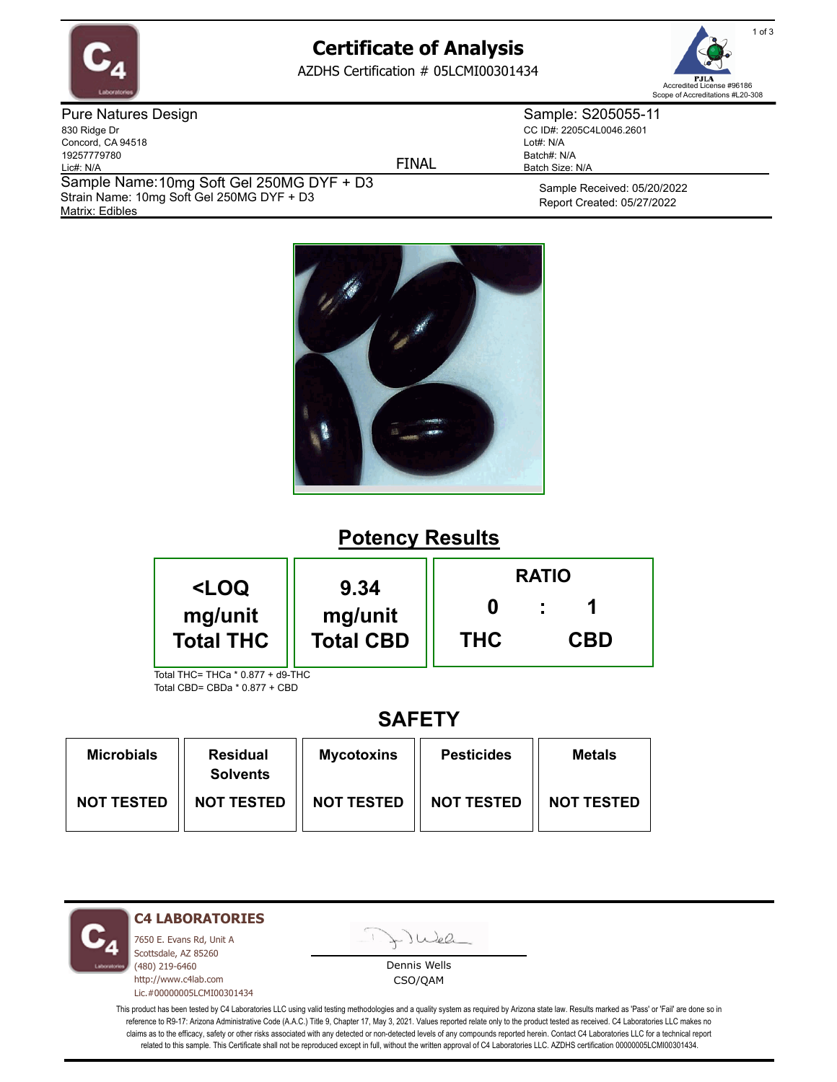

# **Certificate of Analysis**

AZDHS Certification # 05LCMI00301434

FINAL



Pure Natures Design 830 Ridge Dr Concord, CA 94518 19257779780 Lic#: N/A Matrix: Edibles Sample Name: 10mg Soft Gel 250MG DYF + D3 Strain Name: 10mg Soft Gel 250MG DYF + D3

Sample: S205055-11 CC ID#: 2205C4L0046.2601 Lot#: N/A Batch#: N/A Batch Size: N/A

> Sample Received: 05/20/2022 Report Created: 05/27/2022



### **Potency Results**

| <loq< th=""><th>9.34</th><th colspan="3"><b>RATIO</b></th></loq<> | 9.34             | <b>RATIO</b> |            |  |
|-------------------------------------------------------------------|------------------|--------------|------------|--|
| mg/unit                                                           | mg/unit          |              |            |  |
| <b>Total THC</b>                                                  | <b>Total CBD</b> | <b>THC</b>   | <b>CBD</b> |  |

Total THC= THCa \* 0.877 + d9-THC Total CBD= CBDa \* 0.877 + CBD

## **SAFETY**

| <b>Microbials</b> | <b>Residual</b><br><b>Solvents</b> | <b>Mycotoxins</b> | <b>Pesticides</b> | <b>Metals</b>     |
|-------------------|------------------------------------|-------------------|-------------------|-------------------|
| <b>NOT TESTED</b> | <b>NOT TESTED</b>                  | <b>NOT TESTED</b> | <b>NOT TESTED</b> | <b>NOT TESTED</b> |

**C4 LABORATORIES**

7650 E. Evans Rd, Unit A Scottsdale, AZ 85260 (480) 219-6460 http://www.c4lab.com Lic.#00000005LCMI00301434 Juea

Dennis Wells CSO/QAM

This product has been tested by C4 Laboratories LLC using valid testing methodologies and a quality system as required by Arizona state law. Results marked as 'Pass' or 'Fail' are done so in reference to R9-17: Arizona Administrative Code (A.A.C.) Title 9, Chapter 17, May 3, 2021. Values reported relate only to the product tested as received. C4 Laboratories LLC makes no claims as to the efficacy, safety or other risks associated with any detected or non-detected levels of any compounds reported herein. Contact C4 Laboratories LLC for a technical report related to this sample. This Certificate shall not be reproduced except in full, without the written approval of C4 Laboratories LLC. AZDHS certification 00000005LCMI00301434.

1 of 3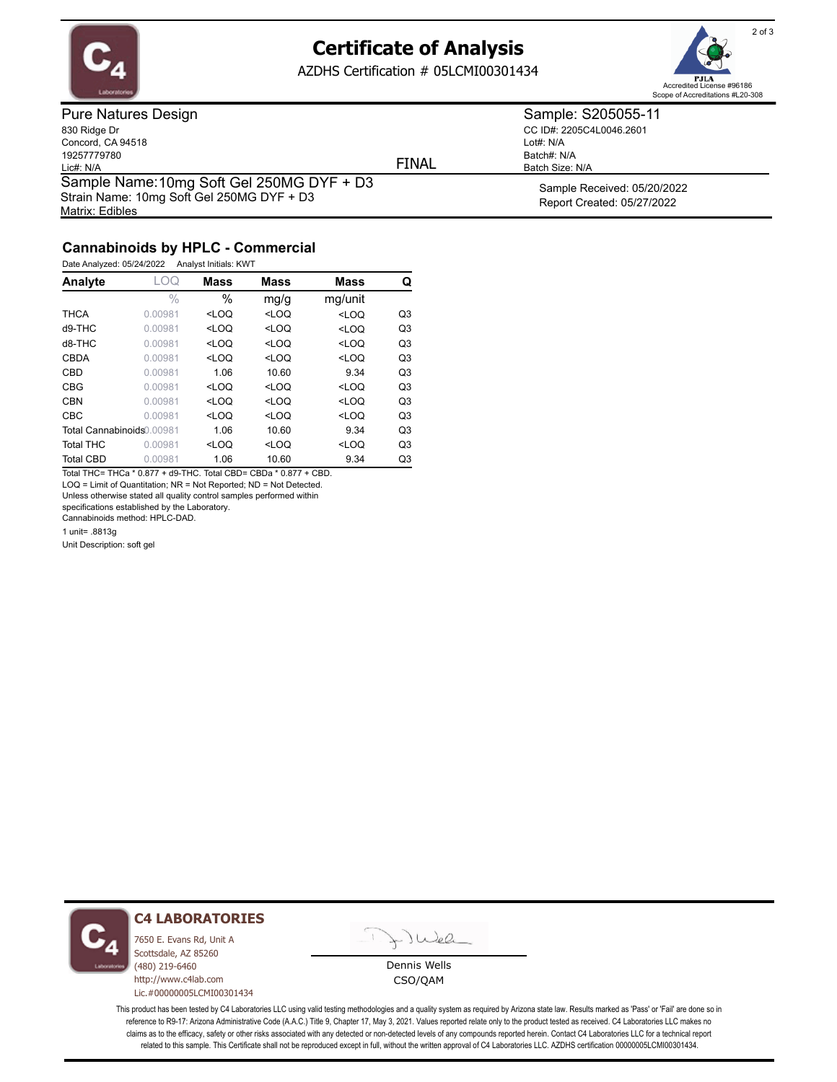

Matrix: Edibles

### **Certificate of Analysis**

AZDHS Certification # 05LCMI00301434



Pure Natures Design 830 Ridge Dr Concord, CA 94518 19257779780 Lic#: N/A Sample Name: 10mg Soft Gel 250MG DYF + D3 Strain Name: 10mg Soft Gel 250MG DYF + D3

FINAL

CC ID#: 2205C4L0046.2601 Lot#: N/A Batch#: N/A

Batch Size: N/A

Sample: S205055-11

Sample Received: 05/20/2022 Report Created: 05/27/2022

### **Cannabinoids by HPLC - Commercial**

Date Analyzed: 05/24/2022 Analyst Initials: KWT

| Analyte                   | . OQ          | <b>Mass</b> | Mass    | <b>Mass</b> | Q              |
|---------------------------|---------------|-------------|---------|-------------|----------------|
|                           | $\frac{0}{0}$ | $\%$        | mg/g    | mg/unit     |                |
| <b>THCA</b>               | 0.00981       | $<$ LOQ     | $<$ LOQ | $<$ LOQ     | Q <sub>3</sub> |
| $d9-THC$                  | 0.00981       | $<$ LOQ     | $<$ LOQ | $<$ LOQ     | Q <sub>3</sub> |
| d8-THC                    | 0.00981       | $<$ LOQ     | $<$ LOQ | $<$ LOQ     | Q <sub>3</sub> |
| CBDA                      | 0.00981       | $<$ LOQ     | $<$ LOQ | $<$ LOQ     | Q <sub>3</sub> |
| <b>CBD</b>                | 0.00981       | 1.06        | 10.60   | 9.34        | Q <sub>3</sub> |
| <b>CBG</b>                | 0.00981       | $<$ LOQ     | $<$ LOQ | $<$ LOQ     | Q <sub>3</sub> |
| <b>CBN</b>                | 0.00981       | $<$ LOO     | $<$ LOQ | $<$ LOQ     | Q <sub>3</sub> |
| CBC                       | 0.00981       | $<$ LOO     | $<$ LOO | $<$ LOO     | Q <sub>3</sub> |
| Total Cannabinoids 0.0981 |               | 1.06        | 10.60   | 9.34        | Q <sub>3</sub> |
| <b>Total THC</b>          | 0.00981       | $<$ LOQ     | $<$ LOQ | $<$ LOQ     | Q <sub>3</sub> |
| <b>Total CBD</b>          | 0.00981       | 1.06        | 10.60   | 9.34        | Q3             |

Total THC= THCa \* 0.877 + d9-THC. Total CBD= CBDa \* 0.877 + CBD. LOQ = Limit of Quantitation; NR = Not Reported; ND = Not Detected.

Unless otherwise stated all quality control samples performed within

specifications established by the Laboratory.

Cannabinoids method: HPLC-DAD.

1 unit= .8813g

Unit Description: soft gel



#### **C4 LABORATORIES**

7650 E. Evans Rd, Unit A Scottsdale, AZ 85260 (480) 219-6460 http://www.c4lab.com Lic.#00000005LCMI00301434

Juea

Dennis Wells CSO/QAM

This product has been tested by C4 Laboratories LLC using valid testing methodologies and a quality system as required by Arizona state law. Results marked as 'Pass' or 'Fail' are done so in reference to R9-17: Arizona Administrative Code (A.A.C.) Title 9, Chapter 17, May 3, 2021. Values reported relate only to the product tested as received. C4 Laboratories LLC makes no claims as to the efficacy, safety or other risks associated with any detected or non-detected levels of any compounds reported herein. Contact C4 Laboratories LLC for a technical report related to this sample. This Certificate shall not be reproduced except in full, without the written approval of C4 Laboratories LLC. AZDHS certification 00000005LCMI00301434.

2 of 3